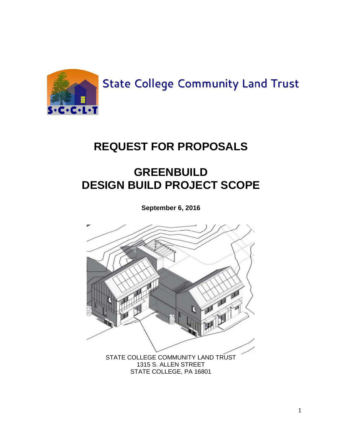

**State College Community Land Trust** 

# **REQUEST FOR PROPOSALS**

# **GREENBUILD DESIGN BUILD PROJECT SCOPE**

**September 6, 2016**

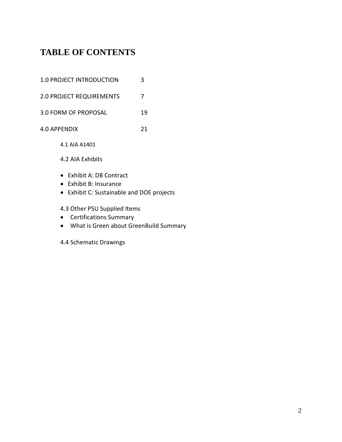# **TABLE OF CONTENTS**

| 1.0 PROJECT INTRODUCTION        | 3  |
|---------------------------------|----|
| <b>2.0 PROJECT REQUIREMENTS</b> |    |
| 3.0 FORM OF PROPOSAL            | 19 |
| 4.0 APPFNDIX                    | 21 |

4.1 AIA A1401

4.2 AIA Exhibits

- Exhibit A: DB Contract
- Exhibit B: Insurance
- Exhibit C: Sustainable and DOE projects

4.3 Other PSU Supplied Items

- Certifications Summary
- What is Green about GreenBuild Summary
- 4.4 Schematic Drawings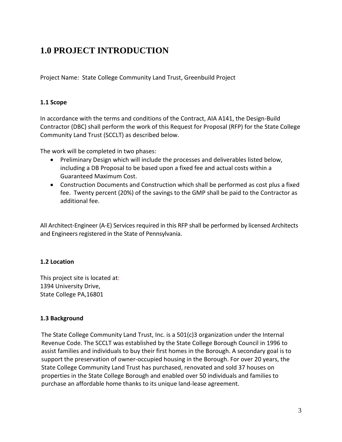# **1.0 PROJECT INTRODUCTION**

Project Name: State College Community Land Trust, Greenbuild Project

#### **1.1 Scope**

In accordance with the terms and conditions of the Contract, AIA A141, the Design-Build Contractor (DBC) shall perform the work of this Request for Proposal (RFP) for the State College Community Land Trust (SCCLT) as described below.

The work will be completed in two phases:

- Preliminary Design which will include the processes and deliverables listed below, including a DB Proposal to be based upon a fixed fee and actual costs within a Guaranteed Maximum Cost.
- Construction Documents and Construction which shall be performed as cost plus a fixed fee. Twenty percent (20%) of the savings to the GMP shall be paid to the Contractor as additional fee.

All Architect-Engineer (A-E) Services required in this RFP shall be performed by licensed Architects and Engineers registered in the State of Pennsylvania.

#### **1.2 Location**

This project site is located at: 1394 University Drive, State College PA,16801

#### **1.3 Background**

The State College Community Land Trust, Inc. is a 501(c)3 organization under the Internal Revenue Code. The SCCLT was established by the State College Borough Council in 1996 to assist families and individuals to buy their first homes in the Borough. A secondary goal is to support the preservation of owner-occupied housing in the Borough. For over 20 years, the State College Community Land Trust has purchased, renovated and sold 37 houses on properties in the State College Borough and enabled over 50 individuals and families to purchase an affordable home thanks to its unique land-lease agreement.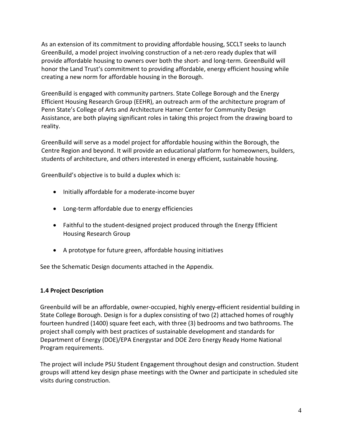As an extension of its commitment to providing affordable housing, SCCLT seeks to launch GreenBuild, a model project involving construction of a net-zero ready duplex that will provide affordable housing to owners over both the short- and long-term. GreenBuild will honor the Land Trust's commitment to providing affordable, energy efficient housing while creating a new norm for affordable housing in the Borough.

GreenBuild is engaged with community partners. State College Borough and the Energy Efficient Housing Research Group (EEHR), an outreach arm of the architecture program of Penn State's College of Arts and Architecture Hamer Center for Community Design Assistance, are both playing significant roles in taking this project from the drawing board to reality.

GreenBuild will serve as a model project for affordable housing within the Borough, the Centre Region and beyond. It will provide an educational platform for homeowners, builders, students of architecture, and others interested in energy efficient, sustainable housing.

GreenBuild's objective is to build a duplex which is:

- Initially affordable for a moderate-income buyer
- Long-term affordable due to energy efficiencies
- Faithful to the student-designed project produced through the Energy Efficient Housing Research Group
- A prototype for future green, affordable housing initiatives

See the Schematic Design documents attached in the Appendix.

#### **1.4 Project Description**

Greenbuild will be an affordable, owner-occupied, highly energy-efficient residential building in State College Borough. Design is for a duplex consisting of two (2) attached homes of roughly fourteen hundred (1400) square feet each, with three (3) bedrooms and two bathrooms. The project shall comply with best practices of sustainable development and standards for Department of Energy (DOE)/EPA Energystar and DOE Zero Energy Ready Home National Program requirements.

The project will include PSU Student Engagement throughout design and construction. Student groups will attend key design phase meetings with the Owner and participate in scheduled site visits during construction.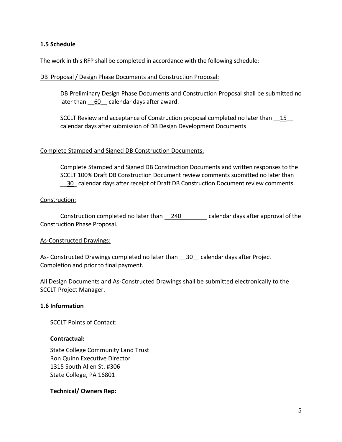#### **1.5 Schedule**

The work in this RFP shall be completed in accordance with the following schedule:

#### DB Proposal / Design Phase Documents and Construction Proposal:

DB Preliminary Design Phase Documents and Construction Proposal shall be submitted no later than  $60$  calendar days after award.

SCCLT Review and acceptance of Construction proposal completed no later than  $15$ calendar days after submission of DB Design Development Documents

#### Complete Stamped and Signed DB Construction Documents:

Complete Stamped and Signed DB Construction Documents and written responses to the SCCLT 100% Draft DB Construction Document review comments submitted no later than \_\_30\_ calendar days after receipt of Draft DB Construction Document review comments.

#### Construction:

Construction completed no later than \_\_240\_\_\_\_\_\_\_\_ calendar days after approval of the Construction Phase Proposal.

#### As-Constructed Drawings:

As- Constructed Drawings completed no later than  $\frac{30}{20}$  calendar days after Project Completion and prior to final payment.

All Design Documents and As-Constructed Drawings shall be submitted electronically to the SCCLT Project Manager.

#### **1.6 Information**

SCCLT Points of Contact:

#### **Contractual:**

State College Community Land Trust Ron Quinn Executive Director 1315 South Allen St. #306 State College, PA 16801

#### **Technical/ Owners Rep:**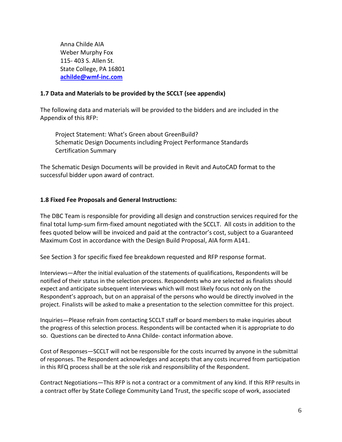Anna Childe AIA Weber Murphy Fox 115- 403 S. Allen St. State College, PA 16801 **[achilde@wmf-inc.com](mailto:achilde@wmf-inc.com)**

#### **1.7 Data and Materials to be provided by the SCCLT (see appendix)**

The following data and materials will be provided to the bidders and are included in the Appendix of this RFP:

Project Statement: What's Green about GreenBuild? Schematic Design Documents including Project Performance Standards Certification Summary

The Schematic Design Documents will be provided in Revit and AutoCAD format to the successful bidder upon award of contract.

#### **1.8 Fixed Fee Proposals and General Instructions:**

The DBC Team is responsible for providing all design and construction services required for the final total lump-sum firm-fixed amount negotiated with the SCCLT. All costs in addition to the fees quoted below will be invoiced and paid at the contractor's cost, subject to a Guaranteed Maximum Cost in accordance with the Design Build Proposal, AIA form A141.

See Section 3 for specific fixed fee breakdown requested and RFP response format.

Interviews—After the initial evaluation of the statements of qualifications, Respondents will be notified of their status in the selection process. Respondents who are selected as finalists should expect and anticipate subsequent interviews which will most likely focus not only on the Respondent's approach, but on an appraisal of the persons who would be directly involved in the project. Finalists will be asked to make a presentation to the selection committee for this project.

Inquiries—Please refrain from contacting SCCLT staff or board members to make inquiries about the progress of this selection process. Respondents will be contacted when it is appropriate to do so. Questions can be directed to Anna Childe- contact information above.

Cost of Responses—SCCLT will not be responsible for the costs incurred by anyone in the submittal of responses. The Respondent acknowledges and accepts that any costs incurred from participation in this RFQ process shall be at the sole risk and responsibility of the Respondent.

Contract Negotiations—This RFP is not a contract or a commitment of any kind. If this RFP results in a contract offer by State College Community Land Trust, the specific scope of work, associated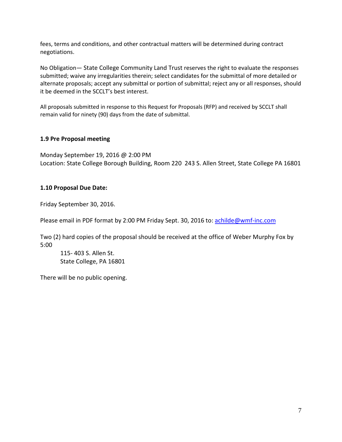fees, terms and conditions, and other contractual matters will be determined during contract negotiations.

No Obligation— State College Community Land Trust reserves the right to evaluate the responses submitted; waive any irregularities therein; select candidates for the submittal of more detailed or alternate proposals; accept any submittal or portion of submittal; reject any or all responses, should it be deemed in the SCCLT's best interest.

All proposals submitted in response to this Request for Proposals (RFP) and received by SCCLT shall remain valid for ninety (90) days from the date of submittal.

#### **1.9 Pre Proposal meeting**

Monday September 19, 2016 @ 2:00 PM Location: State College Borough Building, Room 220 243 S. Allen Street, State College PA 16801

#### **1.10 Proposal Due Date:**

Friday September 30, 2016.

Please email in PDF format by 2:00 PM Friday Sept. 30, 2016 to[: achilde@wmf-inc.com](mailto:achilde@wmf-inc.com)

Two (2) hard copies of the proposal should be received at the office of Weber Murphy Fox by 5:00

115- 403 S. Allen St. State College, PA 16801

There will be no public opening.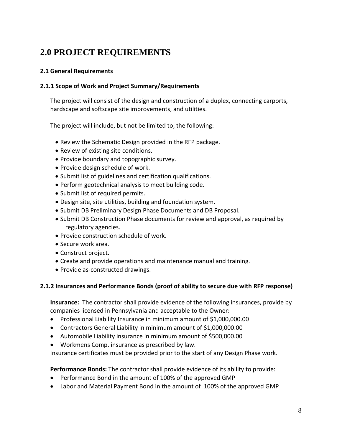# **2.0 PROJECT REQUIREMENTS**

#### **2.1 General Requirements**

#### **2.1.1 Scope of Work and Project Summary/Requirements**

The project will consist of the design and construction of a duplex, connecting carports, hardscape and softscape site improvements, and utilities.

The project will include, but not be limited to, the following:

- Review the Schematic Design provided in the RFP package.
- Review of existing site conditions.
- Provide boundary and topographic survey.
- Provide design schedule of work.
- Submit list of guidelines and certification qualifications.
- Perform geotechnical analysis to meet building code.
- Submit list of required permits.
- Design site, site utilities, building and foundation system.
- Submit DB Preliminary Design Phase Documents and DB Proposal.
- Submit DB Construction Phase documents for review and approval, as required by regulatory agencies.
- Provide construction schedule of work.
- Secure work area.
- Construct project.
- Create and provide operations and maintenance manual and training.
- Provide as-constructed drawings.

#### **2.1.2 Insurances and Performance Bonds (proof of ability to secure due with RFP response)**

**Insurance:** The contractor shall provide evidence of the following insurances, provide by companies licensed in Pennsylvania and acceptable to the Owner:

- Professional Liability Insurance in minimum amount of \$1,000,000.00
- Contractors General Liability in minimum amount of \$1,000,000.00
- Automobile Liability insurance in minimum amount of \$500,000.00
- Workmens Comp. insurance as prescribed by law.

Insurance certificates must be provided prior to the start of any Design Phase work.

## **Performance Bonds:** The contractor shall provide evidence of its ability to provide:

- Performance Bond in the amount of 100% of the approved GMP
- Labor and Material Payment Bond in the amount of 100% of the approved GMP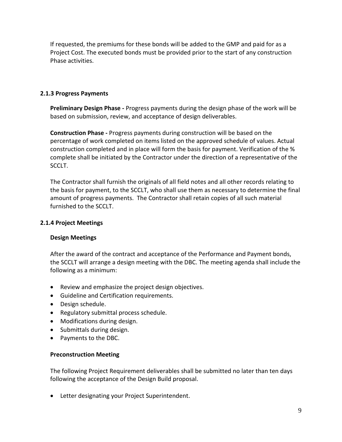If requested, the premiums for these bonds will be added to the GMP and paid for as a Project Cost. The executed bonds must be provided prior to the start of any construction Phase activities.

#### **2.1.3 Progress Payments**

**Preliminary Design Phase -** Progress payments during the design phase of the work will be based on submission, review, and acceptance of design deliverables.

**Construction Phase -** Progress payments during construction will be based on the percentage of work completed on items listed on the approved schedule of values. Actual construction completed and in place will form the basis for payment. Verification of the % complete shall be initiated by the Contractor under the direction of a representative of the SCCLT.

The Contractor shall furnish the originals of all field notes and all other records relating to the basis for payment, to the SCCLT, who shall use them as necessary to determine the final amount of progress payments. The Contractor shall retain copies of all such material furnished to the SCCLT.

#### **2.1.4 Project Meetings**

#### **Design Meetings**

After the award of the contract and acceptance of the Performance and Payment bonds, the SCCLT will arrange a design meeting with the DBC. The meeting agenda shall include the following as a minimum:

- Review and emphasize the project design objectives.
- Guideline and Certification requirements.
- Design schedule.
- Regulatory submittal process schedule.
- Modifications during design.
- Submittals during design.
- Payments to the DBC.

#### **Preconstruction Meeting**

The following Project Requirement deliverables shall be submitted no later than ten days following the acceptance of the Design Build proposal.

• Letter designating your Project Superintendent.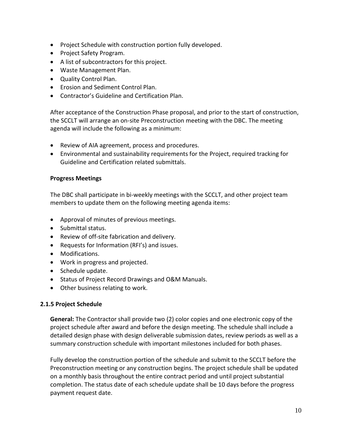- Project Schedule with construction portion fully developed.
- Project Safety Program.
- A list of subcontractors for this project.
- Waste Management Plan.
- Quality Control Plan.
- Erosion and Sediment Control Plan.
- Contractor's Guideline and Certification Plan.

After acceptance of the Construction Phase proposal, and prior to the start of construction, the SCCLT will arrange an on-site Preconstruction meeting with the DBC. The meeting agenda will include the following as a minimum:

- Review of AIA agreement, process and procedures.
- Environmental and sustainability requirements for the Project, required tracking for Guideline and Certification related submittals.

#### **Progress Meetings**

The DBC shall participate in bi-weekly meetings with the SCCLT, and other project team members to update them on the following meeting agenda items:

- Approval of minutes of previous meetings.
- Submittal status.
- Review of off-site fabrication and delivery.
- Requests for Information (RFI's) and issues.
- Modifications.
- Work in progress and projected.
- Schedule update.
- Status of Project Record Drawings and O&M Manuals.
- Other business relating to work.

#### **2.1.5 Project Schedule**

**General:** The Contractor shall provide two (2) color copies and one electronic copy of the project schedule after award and before the design meeting. The schedule shall include a detailed design phase with design deliverable submission dates, review periods as well as a summary construction schedule with important milestones included for both phases.

Fully develop the construction portion of the schedule and submit to the SCCLT before the Preconstruction meeting or any construction begins. The project schedule shall be updated on a monthly basis throughout the entire contract period and until project substantial completion. The status date of each schedule update shall be 10 days before the progress payment request date.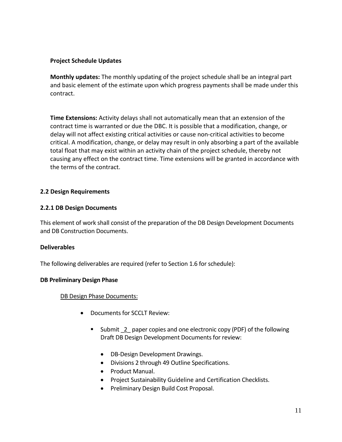#### **Project Schedule Updates**

**Monthly updates:** The monthly updating of the project schedule shall be an integral part and basic element of the estimate upon which progress payments shall be made under this contract.

**Time Extensions:** Activity delays shall not automatically mean that an extension of the contract time is warranted or due the DBC. It is possible that a modification, change, or delay will not affect existing critical activities or cause non-critical activities to become critical. A modification, change, or delay may result in only absorbing a part of the available total float that may exist within an activity chain of the project schedule, thereby not causing any effect on the contract time. Time extensions will be granted in accordance with the terms of the contract.

#### **2.2 Design Requirements**

#### **2.2.1 DB Design Documents**

This element of work shall consist of the preparation of the DB Design Development Documents and DB Construction Documents.

#### **Deliverables**

The following deliverables are required (refer to Section 1.6 for schedule):

#### **DB Preliminary Design Phase**

#### DB Design Phase Documents:

- Documents for SCCLT Review:
	- Submit 2 paper copies and one electronic copy (PDF) of the following Draft DB Design Development Documents for review:
		- DB-Design Development Drawings.
		- Divisions 2 through 49 Outline Specifications.
		- Product Manual.
		- Project Sustainability Guideline and Certification Checklists.
		- Preliminary Design Build Cost Proposal.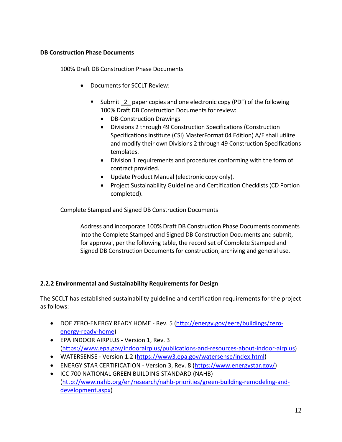#### **DB Construction Phase Documents**

#### 100% Draft DB Construction Phase Documents

- Documents for SCCLT Review:
	- Submit 2 paper copies and one electronic copy (PDF) of the following 100% Draft DB Construction Documents for review:
		- DB-Construction Drawings
		- Divisions 2 through 49 Construction Specifications (Construction Specifications Institute (CSI) MasterFormat 04 Edition) A/E shall utilize and modify their own Divisions 2 through 49 Construction Specifications templates.
		- Division 1 requirements and procedures conforming with the form of contract provided.
		- Update Product Manual (electronic copy only).
		- Project Sustainability Guideline and Certification Checklists (CD Portion completed).

#### Complete Stamped and Signed DB Construction Documents

Address and incorporate 100% Draft DB Construction Phase Documents comments into the Complete Stamped and Signed DB Construction Documents and submit, for approval, per the following table, the record set of Complete Stamped and Signed DB Construction Documents for construction, archiving and general use.

#### **2.2.2 Environmental and Sustainability Requirements for Design**

The SCCLT has established sustainability guideline and certification requirements for the project as follows:

- DOE ZERO-ENERGY READY HOME Rev. 5 [\(http://energy.gov/eere/buildings/zero](http://energy.gov/eere/buildings/zero-energy-ready-home)[energy-ready-home\)](http://energy.gov/eere/buildings/zero-energy-ready-home)
- EPA INDOOR AIRPLUS Version 1, Rev. 3 [\(https://www.epa.gov/indoorairplus/publications-and-resources-about-indoor-airplus\)](https://www.epa.gov/indoorairplus/publications-and-resources-about-indoor-airplus)
- WATERSENSE Version 1.2 [\(https://www3.epa.gov/watersense/index.html\)](https://www3.epa.gov/watersense/index.html)
- ENERGY STAR CERTIFICATION Version 3, Rev. 8 [\(https://www.energystar.gov/\)](https://www.energystar.gov/)
- ICC 700 NATIONAL GREEN BUILDING STANDARD (NAHB) [\(http://www.nahb.org/en/research/nahb-priorities/green-building-remodeling-and](http://www.nahb.org/en/research/nahb-priorities/green-building-remodeling-and-development.aspx)[development.aspx\)](http://www.nahb.org/en/research/nahb-priorities/green-building-remodeling-and-development.aspx)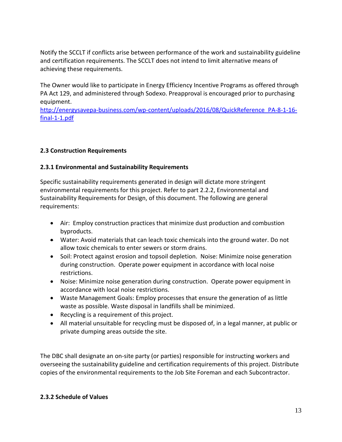Notify the SCCLT if conflicts arise between performance of the work and sustainability guideline and certification requirements. The SCCLT does not intend to limit alternative means of achieving these requirements.

The Owner would like to participate in Energy Efficiency Incentive Programs as offered through PA Act 129, and administered through Sodexo. Preapproval is encouraged prior to purchasing equipment.

[http://energysavepa-business.com/wp-content/uploads/2016/08/QuickReference\\_PA-8-1-16](http://energysavepa-business.com/wp-content/uploads/2016/08/QuickReference_PA-8-1-16-final-1-1.pdf) [final-1-1.pdf](http://energysavepa-business.com/wp-content/uploads/2016/08/QuickReference_PA-8-1-16-final-1-1.pdf)

### **2.3 Construction Requirements**

#### **2.3.1 Environmental and Sustainability Requirements**

Specific sustainability requirements generated in design will dictate more stringent environmental requirements for this project. Refer to part 2.2.2, Environmental and Sustainability Requirements for Design, of this document. The following are general requirements:

- Air: Employ construction practices that minimize dust production and combustion byproducts.
- Water: Avoid materials that can leach toxic chemicals into the ground water. Do not allow toxic chemicals to enter sewers or storm drains.
- Soil: Protect against erosion and topsoil depletion. Noise: Minimize noise generation during construction. Operate power equipment in accordance with local noise restrictions.
- Noise: Minimize noise generation during construction. Operate power equipment in accordance with local noise restrictions.
- Waste Management Goals: Employ processes that ensure the generation of as little waste as possible. Waste disposal in landfills shall be minimized.
- Recycling is a requirement of this project.
- All material unsuitable for recycling must be disposed of, in a legal manner, at public or private dumping areas outside the site.

The DBC shall designate an on-site party (or parties) responsible for instructing workers and overseeing the sustainability guideline and certification requirements of this project. Distribute copies of the environmental requirements to the Job Site Foreman and each Subcontractor.

#### **2.3.2 Schedule of Values**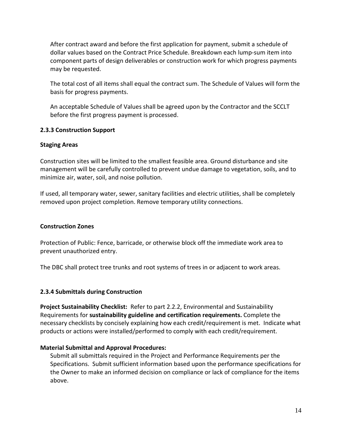After contract award and before the first application for payment, submit a schedule of dollar values based on the Contract Price Schedule. Breakdown each lump-sum item into component parts of design deliverables or construction work for which progress payments may be requested.

The total cost of all items shall equal the contract sum. The Schedule of Values will form the basis for progress payments.

An acceptable Schedule of Values shall be agreed upon by the Contractor and the SCCLT before the first progress payment is processed.

#### **2.3.3 Construction Support**

#### **Staging Areas**

Construction sites will be limited to the smallest feasible area. Ground disturbance and site management will be carefully controlled to prevent undue damage to vegetation, soils, and to minimize air, water, soil, and noise pollution.

If used, all temporary water, sewer, sanitary facilities and electric utilities, shall be completely removed upon project completion. Remove temporary utility connections.

#### **Construction Zones**

Protection of Public: Fence, barricade, or otherwise block off the immediate work area to prevent unauthorized entry.

The DBC shall protect tree trunks and root systems of trees in or adjacent to work areas.

#### **2.3.4 Submittals during Construction**

**Project Sustainability Checklist:** Refer to part 2.2.2, Environmental and Sustainability Requirements for **sustainability guideline and certification requirements.** Complete the necessary checklists by concisely explaining how each credit/requirement is met. Indicate what products or actions were installed/performed to comply with each credit/requirement.

#### **Material Submittal and Approval Procedures:**

Submit all submittals required in the Project and Performance Requirements per the Specifications. Submit sufficient information based upon the performance specifications for the Owner to make an informed decision on compliance or lack of compliance for the items above.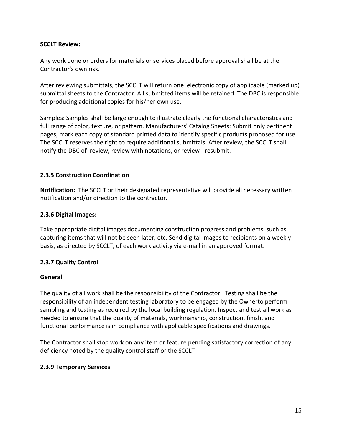#### **SCCLT Review:**

Any work done or orders for materials or services placed before approval shall be at the Contractor's own risk.

After reviewing submittals, the SCCLT will return one electronic copy of applicable (marked up) submittal sheets to the Contractor. All submitted items will be retained. The DBC is responsible for producing additional copies for his/her own use.

Samples: Samples shall be large enough to illustrate clearly the functional characteristics and full range of color, texture, or pattern. Manufacturers' Catalog Sheets: Submit only pertinent pages; mark each copy of standard printed data to identify specific products proposed for use. The SCCLT reserves the right to require additional submittals. After review, the SCCLT shall notify the DBC of review, review with notations, or review - resubmit.

#### **2.3.5 Construction Coordination**

**Notification:** The SCCLT or their designated representative will provide all necessary written notification and/or direction to the contractor.

#### **2.3.6 Digital Images:**

Take appropriate digital images documenting construction progress and problems, such as capturing items that will not be seen later, etc. Send digital images to recipients on a weekly basis, as directed by SCCLT, of each work activity via e-mail in an approved format.

#### **2.3.7 Quality Control**

#### **General**

The quality of all work shall be the responsibility of the Contractor. Testing shall be the responsibility of an independent testing laboratory to be engaged by the Ownerto perform sampling and testing as required by the local building regulation. Inspect and test all work as needed to ensure that the quality of materials, workmanship, construction, finish, and functional performance is in compliance with applicable specifications and drawings.

The Contractor shall stop work on any item or feature pending satisfactory correction of any deficiency noted by the quality control staff or the SCCLT

#### **2.3.9 Temporary Services**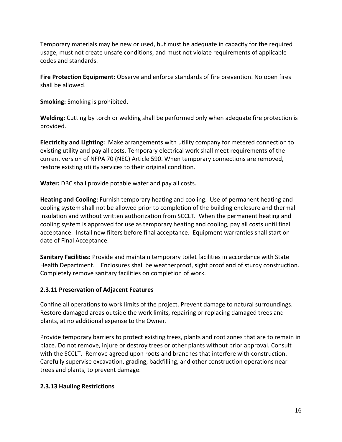Temporary materials may be new or used, but must be adequate in capacity for the required usage, must not create unsafe conditions, and must not violate requirements of applicable codes and standards.

**Fire Protection Equipment:** Observe and enforce standards of fire prevention. No open fires shall be allowed.

**Smoking:** Smoking is prohibited.

**Welding:** Cutting by torch or welding shall be performed only when adequate fire protection is provided.

**Electricity and Lighting:** Make arrangements with utility company for metered connection to existing utility and pay all costs. Temporary electrical work shall meet requirements of the current version of NFPA 70 (NEC) Article 590. When temporary connections are removed, restore existing utility services to their original condition.

**Water:** DBC shall provide potable water and pay all costs.

**Heating and Cooling:** Furnish temporary heating and cooling. Use of permanent heating and cooling system shall not be allowed prior to completion of the building enclosure and thermal insulation and without written authorization from SCCLT. When the permanent heating and cooling system is approved for use as temporary heating and cooling, pay all costs until final acceptance. Install new filters before final acceptance. Equipment warranties shall start on date of Final Acceptance.

**Sanitary Facilities:** Provide and maintain temporary toilet facilities in accordance with State Health Department. Enclosures shall be weatherproof, sight proof and of sturdy construction. Completely remove sanitary facilities on completion of work.

## **2.3.11 Preservation of Adjacent Features**

Confine all operations to work limits of the project. Prevent damage to natural surroundings. Restore damaged areas outside the work limits, repairing or replacing damaged trees and plants, at no additional expense to the Owner.

Provide temporary barriers to protect existing trees, plants and root zones that are to remain in place. Do not remove, injure or destroy trees or other plants without prior approval. Consult with the SCCLT. Remove agreed upon roots and branches that interfere with construction. Carefully supervise excavation, grading, backfilling, and other construction operations near trees and plants, to prevent damage.

#### **2.3.13 Hauling Restrictions**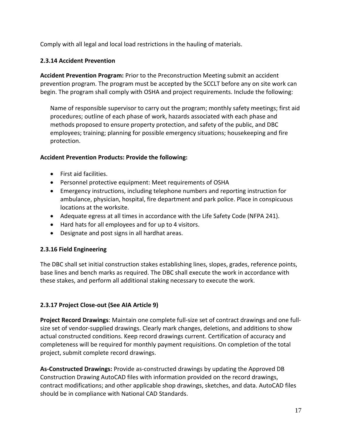Comply with all legal and local load restrictions in the hauling of materials.

### **2.3.14 Accident Prevention**

**Accident Prevention Program:** Prior to the Preconstruction Meeting submit an accident prevention program. The program must be accepted by the SCCLT before any on site work can begin. The program shall comply with OSHA and project requirements. Include the following:

Name of responsible supervisor to carry out the program; monthly safety meetings; first aid procedures; outline of each phase of work, hazards associated with each phase and methods proposed to ensure property protection, and safety of the public, and DBC employees; training; planning for possible emergency situations; housekeeping and fire protection.

#### **Accident Prevention Products: Provide the following:**

- First aid facilities.
- Personnel protective equipment: Meet requirements of OSHA
- Emergency instructions, including telephone numbers and reporting instruction for ambulance, physician, hospital, fire department and park police. Place in conspicuous locations at the worksite.
- Adequate egress at all times in accordance with the Life Safety Code (NFPA 241).
- Hard hats for all employees and for up to 4 visitors.
- Designate and post signs in all hardhat areas.

#### **2.3.16 Field Engineering**

The DBC shall set initial construction stakes establishing lines, slopes, grades, reference points, base lines and bench marks as required. The DBC shall execute the work in accordance with these stakes, and perform all additional staking necessary to execute the work.

## **2.3.17 Project Close-out (See AIA Article 9)**

**Project Record Drawings**: Maintain one complete full-size set of contract drawings and one fullsize set of vendor-supplied drawings. Clearly mark changes, deletions, and additions to show actual constructed conditions. Keep record drawings current. Certification of accuracy and completeness will be required for monthly payment requisitions. On completion of the total project, submit complete record drawings.

**As-Constructed Drawings:** Provide as-constructed drawings by updating the Approved DB Construction Drawing AutoCAD files with information provided on the record drawings, contract modifications; and other applicable shop drawings, sketches, and data. AutoCAD files should be in compliance with National CAD Standards.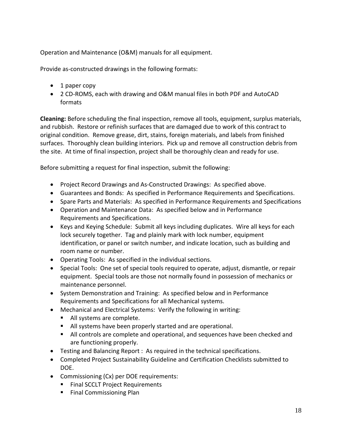Operation and Maintenance (O&M) manuals for all equipment.

Provide as-constructed drawings in the following formats:

- 1 paper copy
- 2 CD-ROMS, each with drawing and O&M manual files in both PDF and AutoCAD formats

**Cleaning:** Before scheduling the final inspection, remove all tools, equipment, surplus materials, and rubbish. Restore or refinish surfaces that are damaged due to work of this contract to original condition. Remove grease, dirt, stains, foreign materials, and labels from finished surfaces. Thoroughly clean building interiors. Pick up and remove all construction debris from the site. At time of final inspection, project shall be thoroughly clean and ready for use.

Before submitting a request for final inspection, submit the following:

- Project Record Drawings and As-Constructed Drawings: As specified above.
- Guarantees and Bonds: As specified in Performance Requirements and Specifications.
- Spare Parts and Materials: As specified in Performance Requirements and Specifications
- Operation and Maintenance Data: As specified below and in Performance Requirements and Specifications.
- Keys and Keying Schedule: Submit all keys including duplicates. Wire all keys for each lock securely together. Tag and plainly mark with lock number, equipment identification, or panel or switch number, and indicate location, such as building and room name or number.
- Operating Tools: As specified in the individual sections.
- Special Tools: One set of special tools required to operate, adjust, dismantle, or repair equipment. Special tools are those not normally found in possession of mechanics or maintenance personnel.
- System Demonstration and Training: As specified below and in Performance Requirements and Specifications for all Mechanical systems.
- Mechanical and Electrical Systems: Verify the following in writing:
	- All systems are complete.
	- All systems have been properly started and are operational.
	- All controls are complete and operational, and sequences have been checked and are functioning properly.
- Testing and Balancing Report : As required in the technical specifications.
- Completed Project Sustainability Guideline and Certification Checklists submitted to DOE.
- Commissioning (Cx) per DOE requirements:
	- **Final SCCLT Project Requirements**
	- **Final Commissioning Plan**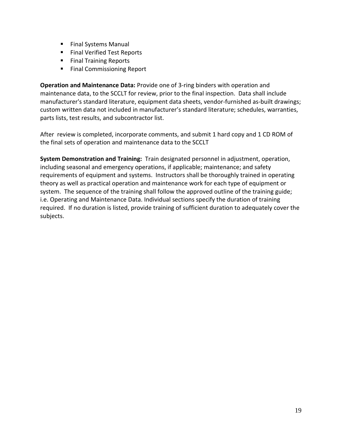- **Final Systems Manual**
- **Final Verified Test Reports**
- **Final Training Reports**
- **Final Commissioning Report**

**Operation and Maintenance Data:** Provide one of 3-ring binders with operation and maintenance data, to the SCCLT for review, prior to the final inspection. Data shall include manufacturer's standard literature, equipment data sheets, vendor-furnished as-built drawings; custom written data not included in manufacturer's standard literature; schedules, warranties, parts lists, test results, and subcontractor list.

After review is completed, incorporate comments, and submit 1 hard copy and 1 CD ROM of the final sets of operation and maintenance data to the SCCLT

**System Demonstration and Training:** Train designated personnel in adjustment, operation, including seasonal and emergency operations, if applicable; maintenance; and safety requirements of equipment and systems. Instructors shall be thoroughly trained in operating theory as well as practical operation and maintenance work for each type of equipment or system. The sequence of the training shall follow the approved outline of the training guide; i.e. Operating and Maintenance Data. Individual sections specify the duration of training required. If no duration is listed, provide training of sufficient duration to adequately cover the subjects.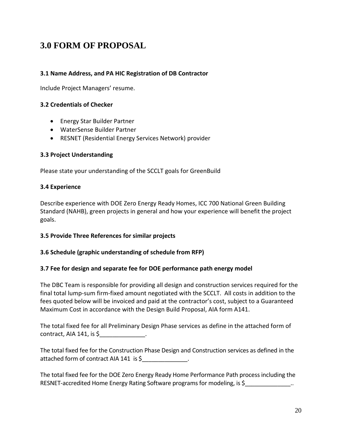# **3.0 FORM OF PROPOSAL**

#### **3.1 Name Address, and PA HIC Registration of DB Contractor**

Include Project Managers' resume.

#### **3.2 Credentials of Checker**

- Energy Star Builder Partner
- WaterSense Builder Partner
- RESNET (Residential Energy Services Network) provider

#### **3.3 Project Understanding**

Please state your understanding of the SCCLT goals for GreenBuild

#### **3.4 Experience**

Describe experience with DOE Zero Energy Ready Homes, ICC 700 National Green Building Standard (NAHB), green projects in general and how your experience will benefit the project goals.

#### **3.5 Provide Three References for similar projects**

#### **3.6 Schedule (graphic understanding of schedule from RFP)**

#### **3.7 Fee for design and separate fee for DOE performance path energy model**

The DBC Team is responsible for providing all design and construction services required for the final total lump-sum firm-fixed amount negotiated with the SCCLT. All costs in addition to the fees quoted below will be invoiced and paid at the contractor's cost, subject to a Guaranteed Maximum Cost in accordance with the Design Build Proposal, AIA form A141.

The total fixed fee for all Preliminary Design Phase services as define in the attached form of contract, AIA 141, is \$\_\_\_\_\_\_\_\_\_\_\_\_\_\_.

The total fixed fee for the Construction Phase Design and Construction services as defined in the attached form of contract AIA 141 is \$

The total fixed fee for the DOE Zero Energy Ready Home Performance Path process including the RESNET-accredited Home Energy Rating Software programs for modeling, is \$